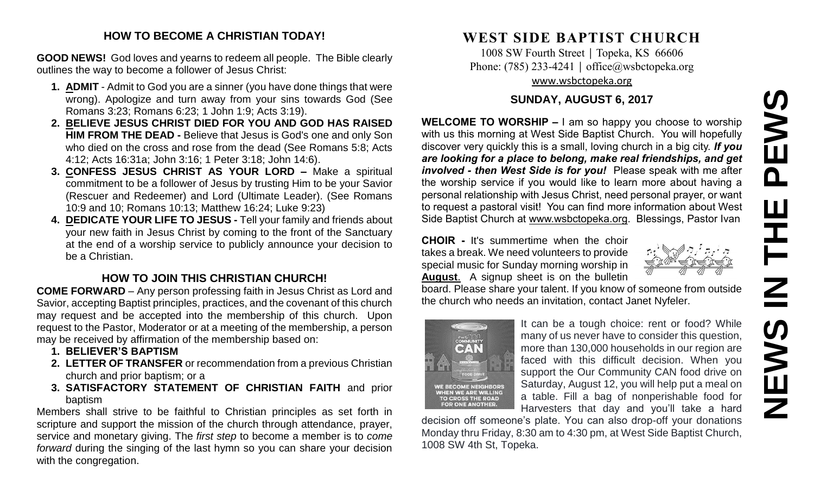# **NEWS IN THE PEWS**PEWS  $\mathbf{u}$  $\overline{z}$ **SANEWS**

# **HOW TO BECOME A CHRISTIAN TODAY!**

**GOOD NEWS!** God loves and yearns to redeem all people. The Bible clearly outlines the way to become a follower of Jesus Christ:

- **1. ADMIT** Admit to God you are a sinner (you have done things that were wrong). Apologize and turn away from your sins towards God (See Romans 3:23; Romans 6:23; 1 John 1:9; Acts 3:19).
- **2. BELIEVE JESUS CHRIST DIED FOR YOU AND GOD HAS RAISED HIM FROM THE DEAD -** Believe that Jesus is God's one and only Son who died on the cross and rose from the dead (See Romans 5:8; Acts 4:12; Acts 16:31a; John 3:16; 1 Peter 3:18; John 14:6).
- **3. CONFESS JESUS CHRIST AS YOUR LORD –** Make a spiritual commitment to be a follower of Jesus by trusting Him to be your Savior (Rescuer and Redeemer) and Lord (Ultimate Leader). (See Romans 10:9 and 10; Romans 10:13; Matthew 16:24; Luke 9:23)
- **4. DEDICATE YOUR LIFE TO JESUS -** Tell your family and friends about your new faith in Jesus Christ by coming to the front of the Sanctuary at the end of a worship service to publicly announce your decision to be a Christian.

# **HOW TO JOIN THIS CHRISTIAN CHURCH!**

**COME FORWARD** – Any person professing faith in Jesus Christ as Lord and Savior, accepting Baptist principles, practices, and the covenant of this church may request and be accepted into the membership of this church. Upon request to the Pastor, Moderator or at a meeting of the membership, a person may be received by affirmation of the membership based on:

- **1. BELIEVER'S BAPTISM**
- **2. LETTER OF TRANSFER** or recommendation from a previous Christian church and prior baptism; or a
- **3. SATISFACTORY STATEMENT OF CHRISTIAN FAITH** and prior baptism

Members shall strive to be faithful to Christian principles as set forth in scripture and support the mission of the church through attendance, prayer, service and monetary giving. The *first step* to become a member is to *come forward* during the singing of the last hymn so you can share your decision with the congregation.

# **WEST SIDE BAPTIST CHURCH**

1008 SW Fourth Street | Topeka, KS 66606 Phone: (785) 233-4241 │ [office@wsbctopeka.org](mailto:office@wsbctopeka.org) [www.wsbctopeka.org](http://www.wsbctopeka.org/)

# **SUNDAY, AUGUST 6, 2017**

**WELCOME TO WORSHIP –** I am so happy you choose to worship with us this morning at West Side Baptist Church. You will hopefully discover very quickly this is a small, loving church in a big city. *If you are looking for a place to belong, make real friendships, and get involved - then West Side is for you!* Please speak with me after the worship service if you would like to learn more about having a personal relationship with Jesus Christ, need personal prayer, or want to request a pastoral visit! You can find more information about West Side Baptist Church at [www.wsbctopeka.org.](http://www.wsbctopeka.org/) Blessings, Pastor Ivan

**CHOIR -** It's summertime when the choir takes a break. We need volunteers to provide special music for Sunday morning worship in **August**. A signup sheet is on the bulletin

board. Please share your talent. If you know of someone from outside the church who needs an invitation, contact Janet Nyfeler.



It can be a tough choice: rent or food? While many of us never have to consider this question, more than 130,000 households in our region are faced with this difficult decision. When you support the Our Community CAN food drive on Saturday, August 12, you will help put a meal on a table. Fill a bag of nonperishable food for Harvesters that day and you'll take a hard

decision off someone's plate. You can also drop-off your donations Monday thru Friday, 8:30 am to 4:30 pm, at West Side Baptist Church, 1008 SW 4th St, Topeka.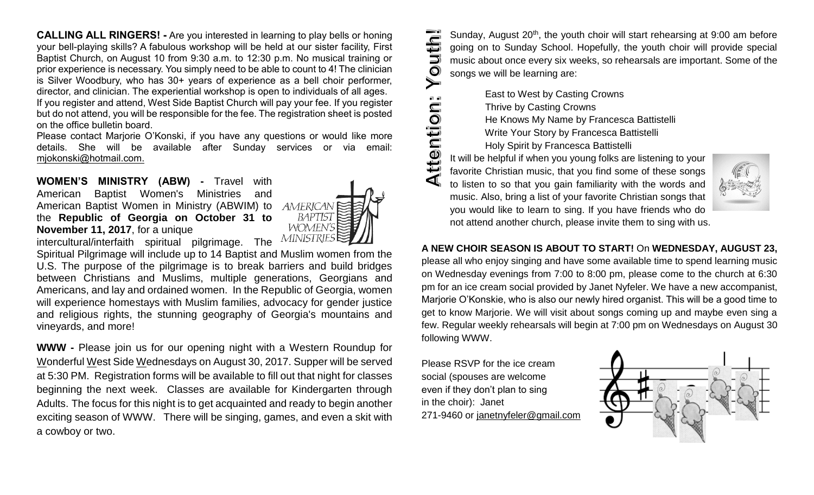**CALLING ALL RINGERS! -** Are you interested in learning to play bells or honing your bell-playing skills? A fabulous workshop will be held at our sister facility, First Baptist Church, on August 10 from 9:30 a.m. to 12:30 p.m. No musical training or prior experience is necessary. You simply need to be able to count to 4! The clinician is Silver Woodbury, who has 30+ years of experience as a bell choir performer, director, and clinician. The experiential workshop is open to individuals of all ages. If you register and attend, West Side Baptist Church will pay your fee. If you register but do not attend, you will be responsible for the fee. The registration sheet is posted on the office bulletin board.

Please contact Marjorie O'Konski, if you have any questions or would like more details. She will be available after Sunday services or via email: mjokonski@hotmail.com.

**WOMEN'S MINISTRY (ABW) -** Travel with American Baptist Women's Ministries and American Baptist Women in Ministry (ABWIM) to the **Republic of Georgia on October 31 to November 11, 2017**, for a unique



intercultural/interfaith spiritual pilgrimage. The MINISTRI

Spiritual Pilgrimage will include up to 14 Baptist and Muslim women from the U.S. The purpose of the pilgrimage is to break barriers and build bridges between Christians and Muslims, multiple generations, Georgians and Americans, and lay and ordained women. In the Republic of Georgia, women will experience homestays with Muslim families, advocacy for gender justice and religious rights, the stunning geography of Georgia's mountains and vineyards, and more!

**WWW -** Please join us for our opening night with a Western Roundup for Wonderful West Side Wednesdays on August 30, 2017. Supper will be served at 5:30 PM. Registration forms will be available to fill out that night for classes beginning the next week. Classes are available for Kindergarten through Adults. The focus for this night is to get acquainted and ready to begin another exciting season of WWW. There will be singing, games, and even a skit with a cowboy or two.

uth! Sunday, August 20<sup>th</sup>, the youth choir will start rehearsing at 9:00 am before going on to Sunday School. Hopefully, the youth choir will provide special music about once every six weeks, so rehearsals are important. Some of the **DI** songs we will be learning are:

 East to West by Casting Crowns Thrive by Casting Crowns He Knows My Name by Francesca Battistelli Write Your Story by Francesca Battistelli Holy Spirit by Francesca Battistelli

ttention It will be helpful if when you young folks are listening to your favorite Christian music, that you find some of these songs to listen to so that you gain familiarity with the words and music. Also, bring a list of your favorite Christian songs that you would like to learn to sing. If you have friends who do not attend another church, please invite them to sing with us.



### **A NEW CHOIR SEASON IS ABOUT TO START!** On **WEDNESDAY, AUGUST 23,**

please all who enjoy singing and have some available time to spend learning music on Wednesday evenings from 7:00 to 8:00 pm, please come to the church at 6:30 pm for an ice cream social provided by Janet Nyfeler. We have a new accompanist, Marjorie O'Konskie, who is also our newly hired organist. This will be a good time to get to know Marjorie. We will visit about songs coming up and maybe even sing a few. Regular weekly rehearsals will begin at 7:00 pm on Wednesdays on August 30 following WWW.

Please RSVP for the ice cream social (spouses are welcome even if they don't plan to sing in the choir): Janet 271-9460 or [janetnyfeler@gmail.com](mailto:janetnyfeler@gmail.com)